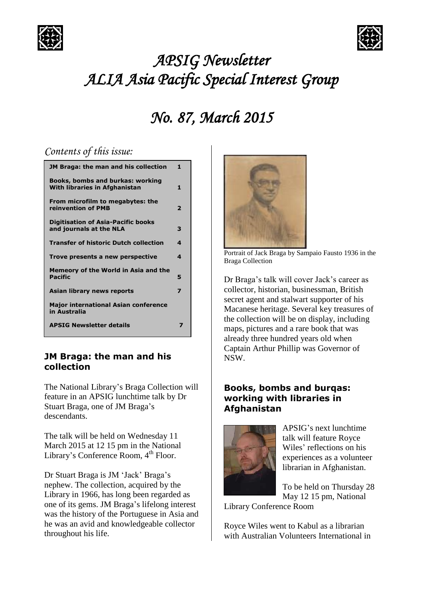



# *APSIG Newsletter ALIA Asia Pacific Special Interest Group*

## *No. 87, March 2015*

## *Contents of this issue:*

| JM Braga: the man and his collection                                     | 1                        |
|--------------------------------------------------------------------------|--------------------------|
| <b>Books, bombs and burkas: working</b><br>With libraries in Afghanistan | 1                        |
| From microfilm to megabytes: the<br>reinvention of PMB                   | $\overline{\phantom{a}}$ |
| <b>Digitisation of Asia-Pacific books</b><br>and journals at the NLA     | 3                        |
| <b>Transfer of historic Dutch collection</b>                             | 4                        |
| Trove presents a new perspective                                         | 4                        |
| Memeory of the World in Asia and the<br><b>Pacific</b>                   | 5                        |
| Asian library news reports                                               | 7                        |
| <b>Major international Asian conference</b><br>in Australia              |                          |
| <b>APSIG Newsletter details</b>                                          |                          |

#### **JM Braga: the man and his collection**

The National Library's Braga Collection will feature in an APSIG lunchtime talk by Dr Stuart Braga, one of JM Braga's descendants.

The talk will be held on Wednesday 11 March 2015 at 12 15 pm in the National Library's Conference Room, 4<sup>th</sup> Floor.

Dr Stuart Braga is JM 'Jack' Braga's nephew. The collection, acquired by the Library in 1966, has long been regarded as one of its gems. JM Braga's lifelong interest was the history of the Portuguese in Asia and he was an avid and knowledgeable collector throughout his life.



Portrait of Jack Braga by Sampaio Fausto 1936 in the Braga Collection

Dr Braga's talk will cover Jack's career as collector, historian, businessman, British secret agent and stalwart supporter of his Macanese heritage. Several key treasures of the collection will be on display, including maps, pictures and a rare book that was already three hundred years old when Captain Arthur Phillip was Governor of NSW.

#### **Books, bombs and burqas: working with libraries in Afghanistan**



APSIG's next lunchtime talk will feature Royce Wiles' reflections on his experiences as a volunteer librarian in Afghanistan.

To be held on Thursday 28 May 12 15 pm, National

Library Conference Room

Royce Wiles went to Kabul as a librarian with Australian Volunteers International in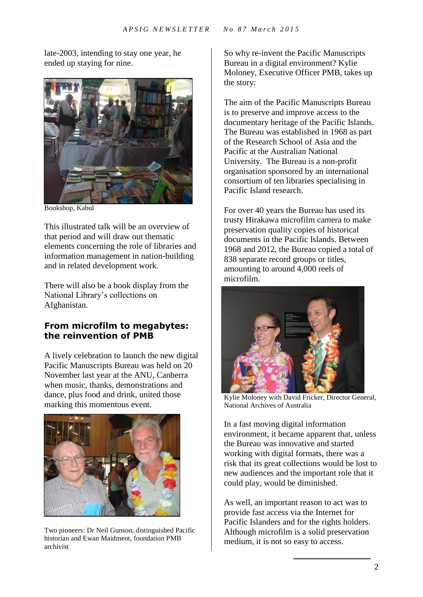late-2003, intending to stay one year, he ended up staying for nine.



Bookshop, Kabul

This illustrated talk will be an overview of that period and will draw out thematic elements concerning the role of libraries and information management in nation-building and in related development work.

There will also be a book display from the National Library's collections on Afghanistan.

### **From microfilm to megabytes: the reinvention of PMB**

A lively celebration to launch the new digital Pacific Manuscripts Bureau was held on 20 November last year at the ANU, Canberra when music, thanks, demonstrations and dance, plus food and drink, united those marking this momentous event.



Two pioneers: Dr Neil Gunson, distinguished Pacific historian and Ewan Maidment, foundation PMB archivist

So why re-invent the Pacific Manuscripts Bureau in a digital environment? Kylie Moloney, Executive Officer PMB, takes up the story:

The aim of the Pacific Manuscripts Bureau is to preserve and improve access to the documentary heritage of the Pacific Islands. The Bureau was established in 1968 as part of the Research School of Asia and the Pacific at the Australian National University. The Bureau is a non-profit organisation sponsored by an international consortium of ten libraries specialising in Pacific Island research.

For over 40 years the Bureau has used its trusty Hirakawa microfilm camera to make preservation quality copies of historical documents in the Pacific Islands. Between 1968 and 2012, the Bureau copied a total of 838 separate record groups or titles, amounting to around 4,000 reels of microfilm.



Kylie Moloney with David Fricker, Director General, National Archives of Australia

In a fast moving digital information environment, it became apparent that, unless the Bureau was innovative and started working with digital formats, there was a risk that its great collections would be lost to new audiences and the important role that it could play, would be diminished.

As well, an important reason to act was to provide fast access via the Internet for Pacific Islanders and for the rights holders. Although microfilm is a solid preservation medium, it is not so easy to access.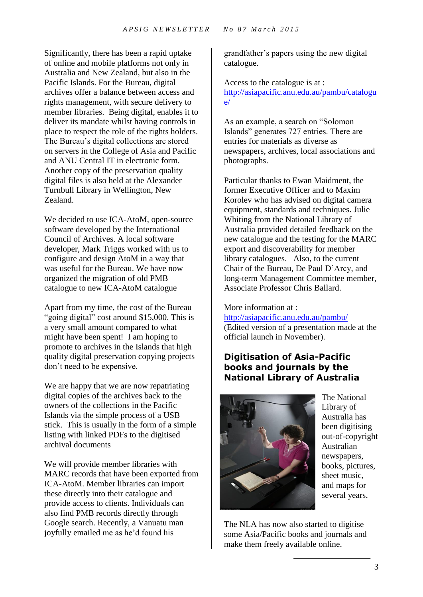Significantly, there has been a rapid uptake of online and mobile platforms not only in Australia and New Zealand, but also in the Pacific Islands. For the Bureau, digital archives offer a balance between access and rights management, with secure delivery to member libraries. Being digital, enables it to deliver its mandate whilst having controls in place to respect the role of the rights holders. The Bureau's digital collections are stored on servers in the College of Asia and Pacific and ANU Central IT in electronic form. Another copy of the preservation quality digital files is also held at the Alexander Turnbull Library in Wellington, New Zealand.

We decided to use ICA-AtoM, open-source software developed by the International Council of Archives. A local software developer, Mark Triggs worked with us to configure and design AtoM in a way that was useful for the Bureau. We have now organized the migration of old PMB catalogue to new ICA-AtoM catalogue

Apart from my time, the cost of the Bureau "going digital" cost around \$15,000. This is a very small amount compared to what might have been spent! I am hoping to promote to archives in the Islands that high quality digital preservation copying projects don't need to be expensive.

We are happy that we are now repatriating digital copies of the archives back to the owners of the collections in the Pacific Islands via the simple process of a USB stick. This is usually in the form of a simple listing with linked PDFs to the digitised archival documents

We will provide member libraries with MARC records that have been exported from ICA-AtoM. Member libraries can import these directly into their catalogue and provide access to clients. Individuals can also find PMB records directly through Google search. Recently, a Vanuatu man joyfully emailed me as he'd found his

grandfather's papers using the new digital catalogue.

Access to the catalogue is at : [http://asiapacific.anu.edu.au/pambu/catalogu](http://asiapacific.anu.edu.au/pambu/catalogue/) [e/](http://asiapacific.anu.edu.au/pambu/catalogue/)

As an example, a search on "Solomon Islands" generates 727 entries. There are entries for materials as diverse as newspapers, archives, local associations and photographs.

Particular thanks to Ewan Maidment, the former Executive Officer and to Maxim Korolev who has advised on digital camera equipment, standards and techniques. Julie Whiting from the National Library of Australia provided detailed feedback on the new catalogue and the testing for the MARC export and discoverability for member library catalogues. Also, to the current Chair of the Bureau, De Paul D'Arcy, and long-term Management Committee member, Associate Professor Chris Ballard.

#### More information at :

<http://asiapacific.anu.edu.au/pambu/>

(Edited version of a presentation made at the official launch in November).

### **Digitisation of Asia-Pacific books and journals by the National Library of Australia**



The National Library of Australia has been digitising out-of-copyright Australian newspapers, books, pictures, sheet music, and maps for several years.

The NLA has now also started to digitise some Asia/Pacific books and journals and make them freely available online.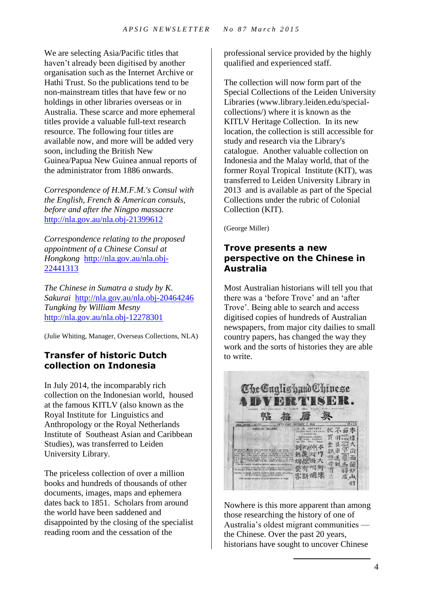We are selecting Asia/Pacific titles that haven't already been digitised by another organisation such as the Internet Archive or Hathi Trust. So the publications tend to be non-mainstream titles that have few or no holdings in other libraries overseas or in Australia. These scarce and more ephemeral titles provide a valuable full-text research resource. The following four titles are available now, and more will be added very soon, including the British New Guinea/Papua New Guinea annual reports of the administrator from 1886 onwards.

*Correspondence of H.M.F.M.'s Consul with the English, French & American consuls, before and after the Ningpo massacre* <http://nla.gov.au/nla.obj-21399612>

*Correspondence relating to the proposed appointment of a Chinese Consul at Hongkong* [http://nla.gov.au/nla.obj-](http://nla.gov.au/nla.obj-22441313)[22441313](http://nla.gov.au/nla.obj-22441313)

*The Chinese in Sumatra a study by K. Sakurai* <http://nla.gov.au/nla.obj-20464246> *Tungking by William Mesny* <http://nla.gov.au/nla.obj-12278301>

(Julie Whiting, Manager, Overseas Collections, NLA)

### **Transfer of historic Dutch collection on Indonesia**

In July 2014, the incomparably rich collection on the Indonesian world, housed at the famous KITLV (also known as the Royal Institute for Linguistics and Anthropology or the Royal Netherlands Institute of Southeast Asian and Caribbean Studies), was transferred to Leiden University Library.

The priceless collection of over a million books and hundreds of thousands of other documents, images, maps and ephemera dates back to 1851. Scholars from around the world have been saddened and disappointed by the closing of the specialist reading room and the cessation of the

professional service provided by the highly qualified and experienced staff.

The collection will now form part of the Special Collections of the Leiden University Libraries (www.library.leiden.edu/specialcollections/) where it is known as the KITLV Heritage Collection. In its new location, the collection is still accessible for study and research via the Library's catalogue. Another valuable collection on Indonesia and the Malay world, that of the former Royal Tropical Institute (KIT), was transferred to Leiden University Library in 2013 and is available as part of the Special Collections under the rubric of Colonial Collection (KIT).

(George Miller)

#### **Trove presents a new perspective on the Chinese in Australia**

Most Australian historians will tell you that there was a 'before Trove' and an 'after Trove'. Being able to search and access digitised copies of hundreds of Australian newspapers, from major city dailies to small country papers, has changed the way they work and the sorts of histories they are able to write.



Nowhere is this more apparent than among those researching the history of one of Australia's oldest migrant communities the Chinese. Over the past 20 years, historians have sought to uncover Chinese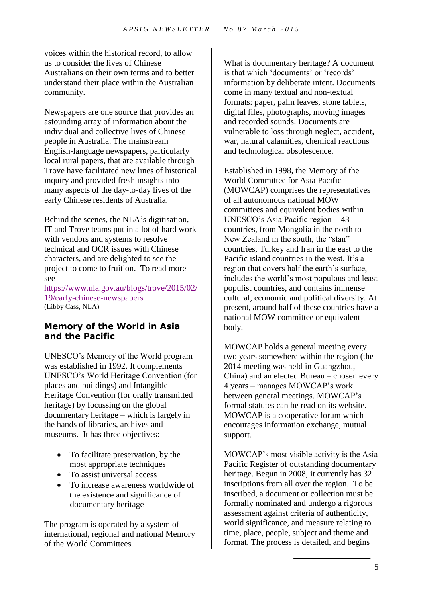voices within the historical record, to allow us to consider the lives of Chinese Australians on their own terms and to better understand their place within the Australian community.

Newspapers are one source that provides an astounding array of information about the individual and collective lives of Chinese people in Australia. The mainstream English-language newspapers, particularly local rural papers, that are available through Trove have facilitated new lines of historical inquiry and provided fresh insights into many aspects of the day-to-day lives of the early Chinese residents of Australia.

Behind the scenes, the NLA's digitisation, IT and Trove teams put in a lot of hard work with vendors and systems to resolve technical and OCR issues with Chinese characters, and are delighted to see the project to come to fruition. To read more see

[https://www.nla.gov.au/blogs/trove/2015/02/](https://www.nla.gov.au/blogs/trove/2015/02/19/early-chinese-newspapers) [19/early-chinese-newspapers](https://www.nla.gov.au/blogs/trove/2015/02/19/early-chinese-newspapers) (Libby Cass, NLA)

#### **Memory of the World in Asia and the Pacific**

UNESCO's Memory of the World program was established in 1992. It complements UNESCO's World Heritage Convention (for places and buildings) and Intangible Heritage Convention (for orally transmitted heritage) by focussing on the global documentary heritage – which is largely in the hands of libraries, archives and museums. It has three objectives:

- To facilitate preservation, by the most appropriate techniques
- To assist universal access
- To increase awareness worldwide of the existence and significance of documentary heritage

The program is operated by a system of international, regional and national Memory of the World Committees.

What is documentary heritage? A document is that which 'documents' or 'records' information by deliberate intent. Documents come in many textual and non-textual formats: paper, palm leaves, stone tablets, digital files, photographs, moving images and recorded sounds. Documents are vulnerable to loss through neglect, accident, war, natural calamities, chemical reactions and technological obsolescence.

Established in 1998, the Memory of the World Committee for Asia Pacific (MOWCAP) comprises the representatives of all autonomous national MOW committees and equivalent bodies within UNESCO's Asia Pacific region - 43 countries, from Mongolia in the north to New Zealand in the south, the "stan" countries, Turkey and Iran in the east to the Pacific island countries in the west. It's a region that covers half the earth's surface, includes the world's most populous and least populist countries, and contains immense cultural, economic and political diversity. At present, around half of these countries have a national MOW committee or equivalent body.

MOWCAP holds a general meeting every two years somewhere within the region (the 2014 meeting was held in Guangzhou, China) and an elected Bureau – chosen every 4 years – manages MOWCAP's work between general meetings. MOWCAP's formal statutes can be read on its website. MOWCAP is a cooperative forum which encourages information exchange, mutual support.

MOWCAP's most visible activity is the Asia Pacific Register of outstanding documentary heritage. Begun in 2008, it currently has 32 inscriptions from all over the region. To be inscribed, a document or collection must be formally nominated and undergo a rigorous assessment against criteria of authenticity, world significance, and measure relating to time, place, people, subject and theme and format. The process is detailed, and begins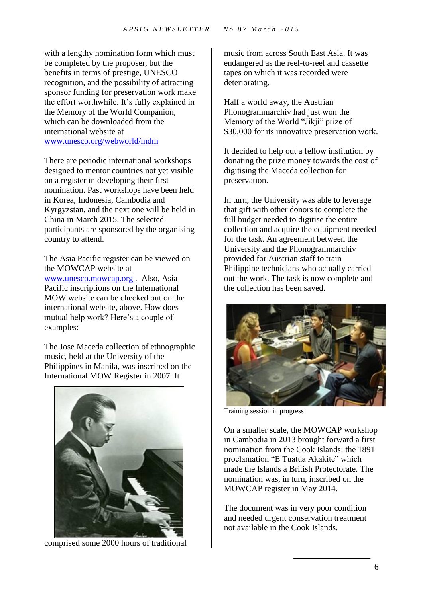with a lengthy nomination form which must be completed by the proposer, but the benefits in terms of prestige, UNESCO recognition, and the possibility of attracting sponsor funding for preservation work make the effort worthwhile. It's fully explained in the Memory of the World Companion, which can be downloaded from the international website at [www.unesco.org/webworld/mdm](http://www.unesco.org/webworld/mdm)

There are periodic international workshops designed to mentor countries not yet visible on a register in developing their first nomination. Past workshops have been held in Korea, Indonesia, Cambodia and Kyrgyzstan, and the next one will be held in China in March 2015. The selected participants are sponsored by the organising country to attend.

The Asia Pacific register can be viewed on the MOWCAP website at

[www.unesco.mowcap.org](http://www.unesco.mowcap.org/) . Also, Asia Pacific inscriptions on the International MOW website can be checked out on the international website, above. How does mutual help work? Here's a couple of examples:

The Jose Maceda collection of ethnographic music, held at the University of the Philippines in Manila, was inscribed on the International MOW Register in 2007. It



comprised some 2000 hours of traditional

music from across South East Asia. It was endangered as the reel-to-reel and cassette tapes on which it was recorded were deteriorating.

Half a world away, the Austrian Phonogrammarchiv had just won the Memory of the World "Jikji" prize of \$30,000 for its innovative preservation work.

It decided to help out a fellow institution by donating the prize money towards the cost of digitising the Maceda collection for preservation.

In turn, the University was able to leverage that gift with other donors to complete the full budget needed to digitise the entire collection and acquire the equipment needed for the task. An agreement between the University and the Phonogrammarchiv provided for Austrian staff to train Philippine technicians who actually carried out the work. The task is now complete and the collection has been saved.



Training session in progress

On a smaller scale, the MOWCAP workshop in Cambodia in 2013 brought forward a first nomination from the Cook Islands: the 1891 proclamation "E Tuatua Akakite" which made the Islands a British Protectorate. The nomination was, in turn, inscribed on the MOWCAP register in May 2014.

The document was in very poor condition and needed urgent conservation treatment not available in the Cook Islands.